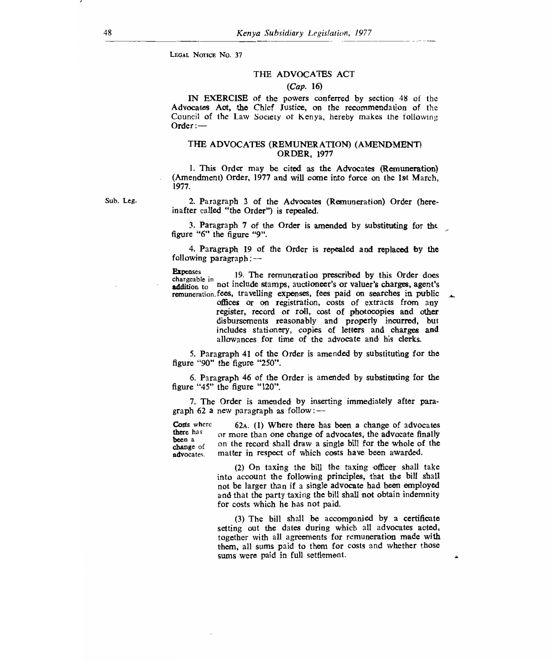LEGAL NOTICE No. 37

## THE ADVOCATES ACT

#### *(Cap.* 16)

IN EXERCISE of the powers conferred by section 48 of the Advocates Act, the Chief Justice, on the recommendation of the Council of the Law Society of Kenya, hereby makes the following Order:—

#### THE ADVOCATES (REMUNERATION) (AMENDMENT) ORDER, 1977

1. This Order may be cited as the Advocates (Remuneration) (Amendment) Order, 1977 and will come into force on the 1st March, 1977.

Sub. Leg.

2. Paragraph 3 of the Advocates (Remuneration) Order (here- inafter called "the Order") is repealed.

3. Paragraph 7 of the Order is amended by substituting for th *figure* "6" the figure "9".

4. Paragraph 19 of the Order is repealed and replaced by the following paragraph:—

Expenses 19. The remuneration prescribed by this Order does chargeable in addition to not include stamps, auctioneer's or valuer's charges, agent's remuneration. fees, travelling expenses, fees paid on searches in public

offices or on registration, costs of extracts from any register, record or roll, cost of photocopies and other disbursements reasonably and properly incurred, but includes stationery, copies of letters and charges and allowances for time of the advocate and his clerks.

5. Paragraph 41 of the Order is amended by substituting for the figure "90" the figure "250".

6. Paragraph 46 of the Order is amended by substituting for the figure "45" the figure "120".

7. The Order is amended by inserting immediately after paragraph 62 a new paragraph as follow :—

Costs where there has been a change of advocates. 62A. (1) Where there has been a change of advocates or more than one change of advocates, the advocate finally on the record shall draw a single bill for the whole of the matter in respect of which costs have been awarded.

> (2) On taxing the bill the taxing officer shall take into account the following principles, that the bill shall not be larger than if a single advocate had been employed and that the party taxing the bill shall not obtain indemnity for costs which he has not paid.

> (3) The bill shall be accompanied by a certificate setting out the dates during which all advocates acted, together with all agreements for remuneration made with them, all sums paid to them for costs and whether those sums were paid in full settlement.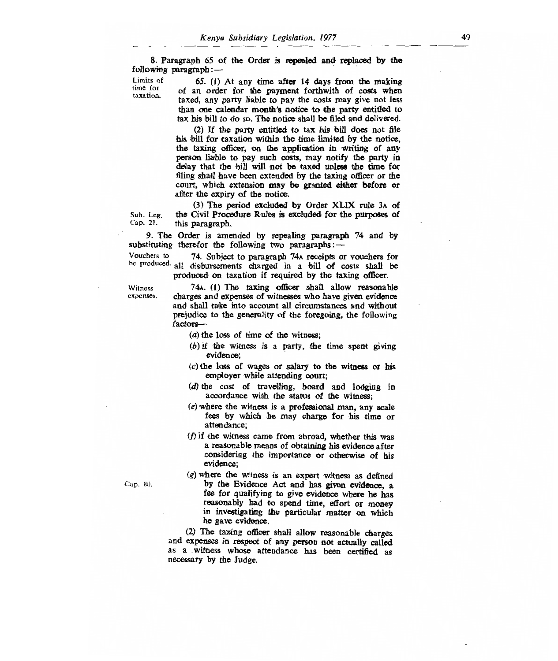8. Paragraph 65 of the Order is repealed and replaced by the following paragraph: $-$ <br>Limits of  $65(1)$ 

Limits of 65. (1) At any time after 14 days from the making  $\frac{time}{total}$  of an order for the payment forthwith of costs when taxed, any party liable to pay the costs may give not less than one calendar month's notice to the party entitled to tax his bill to do so. The notice shall be filed and delivered.

> (2) If the party entitled to tax his bill does not file his bill for taxation within the time limited by the notice, the taxing officer, on the application in writing of any person liable to pay such costs, may notify the party in delay that the bill will not be taxed unless the time for filing shall have been extended by the taxing officer or the court, which extension may be granted either before or after the expiry of the notice.

(3) The period excluded by Order XLIX rule 3A of Sub. Leg. the Civil Procedure Rules is excluded for the purposes of Cap. 21. this paragraph. this paragraph.

9. The Order is amended by repealing paragraph 74 and by substituting therefor the following two paragraphs: $-$ <br>Vouchers to  $-$  74. Subject to paragraph 74 $\lambda$  receipts of

74. Subject to paragraph 74A receipts or vouchers for be produced. all disbursements charged in a bill of costs shall be produced on taxation if required by the taxing officer.

> 74A. (1) The taxing officer shall allow reasonable charges and expenses of witnesses who have given evidence and shall take into account all circumstances and without prejudice to the generality of the foregoing, the following factors—

(a) the loss of time of the witness;

- $(b)$  if the witness is a party, the time spent giving evidence;
- $(c)$  the loss of wages or salary to the witness or his employer while attending court;
- (d) the cost of travelling, board and lodging in accordance with the status of the witness;
- (e) where the witness is a professional man, any scale fees by which he may charge for his time or attendance;
- (f) if the witness came from abroad, whether this was a reasonable means of obtaining his evidence after considering the importance or otherwise of his evidence;

*(g) where* the witness is an expert witness as defined Cap. 80. by the Evidence Act and has given evidence, a fee for qualifying to give evidence where he has reasonably had to spend time, effort or money in investigating the particular matter on which he gave evidence.

> (2) The taxing officer shall allow reasonable charges and expenses in respect of any person not actually called as a witness whose attendance has been certified as necessary by the Judge.

Witness expenses.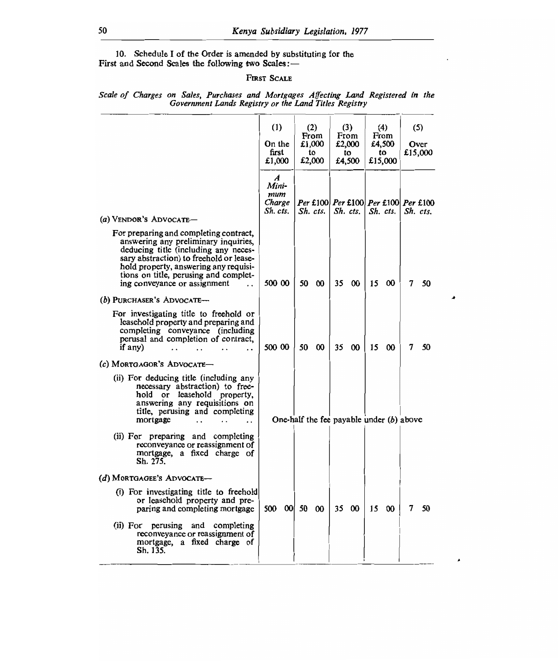10. Schedule I of the Order is amended by substituting for the First and Second Scales the following two Scales:—

## FIRST SCALE

|                                                                                                                                                                                                                                                                                                             | (1)<br>On the<br>first<br>£1,000                       | (2)<br>From<br>£1,000<br>to<br>£2,000      | (3)<br>From<br>£2,000<br>to<br>£4,500 | (4)<br>From<br>£4,500<br>to<br>£15,000 | (5)<br>Over<br>£15,000                          |
|-------------------------------------------------------------------------------------------------------------------------------------------------------------------------------------------------------------------------------------------------------------------------------------------------------------|--------------------------------------------------------|--------------------------------------------|---------------------------------------|----------------------------------------|-------------------------------------------------|
| (a) VENDOR'S ADVOCATE-                                                                                                                                                                                                                                                                                      | $\boldsymbol{A}$<br>Mini-<br>mum<br>Charge<br>Sh. cts. | Sh. cts.                                   | Sh. cts.                              | Sh. cts.                               | Per £100 Per £100 Per £100 Per £100<br>Sh. cts. |
| For preparing and completing contract,<br>answering any preliminary inquiries,<br>deducing title (including any neces-<br>sary abstraction) to freehold or lease-<br>hold property, answering any requisi-<br>tions on title, perusing and complet-<br>ing conveyance or assignment<br>$\ddot{\phantom{a}}$ | 500 00                                                 | 50<br>$\boldsymbol{\infty}$                | 35<br>$\boldsymbol{\infty}$           | 15<br>00                               | 7<br>50                                         |
| (b) PURCHASER'S ADVOCATE-<br>For investigating title to freehold or<br>leasehold property and preparing and<br>completing conveyance (including<br>perusal and completion of contract,<br>if any)<br>$\cdot$ .                                                                                              | 500 00                                                 | 50<br>$\boldsymbol{\omega}$                | 35<br>00                              | 15<br>$\infty$                         | 7<br>50                                         |
| (c) MORTGAGOR'S ADVOCATE-<br>(ii) For deducing title (including any<br>necessary abstraction) to free-<br>hold or leasehold property,<br>answering any requisitions on<br>title, perusing and completing<br>mortgage                                                                                        |                                                        | One-half the fee payable under $(b)$ above |                                       |                                        |                                                 |
| (ii) For preparing and completing<br>reconveyance or reassignment of<br>mortgage, a fixed charge of<br>Sh. 275.                                                                                                                                                                                             |                                                        |                                            |                                       |                                        |                                                 |
| (d) MORTGAGEE'S ADVOCATE-<br>(i) For investigating title to freehold<br>or leasehold property and pre-                                                                                                                                                                                                      |                                                        |                                            |                                       |                                        |                                                 |
| paring and completing mortgage<br>(ii) For perusing and completing<br>reconveyance or reassignment of<br>mortgage, a fixed charge of<br>Sh. 135.                                                                                                                                                            | 500 00                                                 | 50 00                                      | 35<br>- 00                            | 15<br>00                               | 7<br>50                                         |

 $\lambda$ 

*Scale of Charges on Sales, Purchases and Mortgages Affecting Land Registered in the Government Lands Registry or the Land Titles Registry*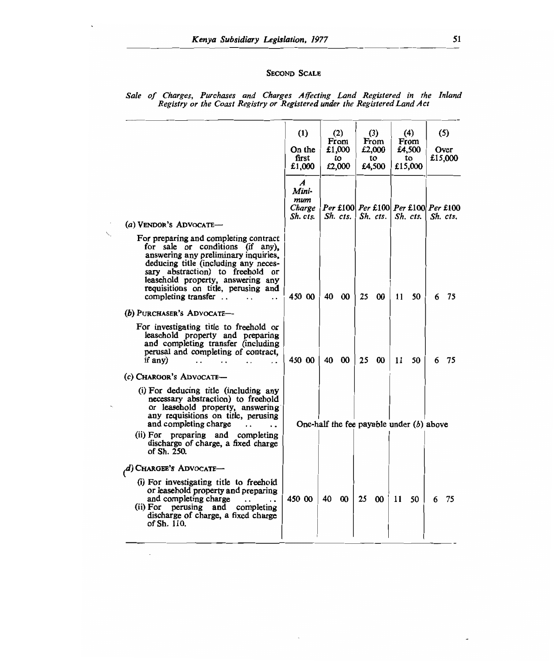## SECOND SCALE

|                                                                                                                                                                                                                                                                                                                          | (1)<br>On the<br>first<br>£1.000                       | (2)<br>From<br>£1,000<br>tο<br>£2,000      | (3)<br>From<br>£2,000<br>to<br>£4,500                        | (4)<br>From<br>£4,500<br>tο<br>£15,000 | (5)<br>Over<br>£15,000 |
|--------------------------------------------------------------------------------------------------------------------------------------------------------------------------------------------------------------------------------------------------------------------------------------------------------------------------|--------------------------------------------------------|--------------------------------------------|--------------------------------------------------------------|----------------------------------------|------------------------|
| (a) VENDOR'S ADVOCATE-                                                                                                                                                                                                                                                                                                   | $\boldsymbol{A}$<br>Mini-<br>mum<br>Charge<br>Sh. cts. | $Sh.$ $cts.$ $\mid$                        | Per £100 Per £100 Per £100 Per £100<br>$Sh.$ cts. $Sh.$ cts. |                                        | Sh. cts.               |
| For preparing and completing contract<br>for sale or conditions (if any),<br>answering any preliminary inquiries,<br>deducing title (including any neces-<br>sary abstraction) to freehold or<br>leasehold property, answering any<br>requisitions on title, perusing and<br>completing transfer<br>$\ddot{\phantom{a}}$ | 450 00                                                 | 40 00                                      | 25 00                                                        | 11<br>50                               | 6<br>75                |
| (b) PURCHASER'S ADVOCATE-                                                                                                                                                                                                                                                                                                |                                                        |                                            |                                                              |                                        |                        |
| For investigating title to freehold or<br>leasehold property and preparing<br>and completing transfer (including<br>perusal and completing of contract,<br>if any)                                                                                                                                                       | 450 00                                                 | 40 00                                      | 25<br>$\boldsymbol{\infty}$                                  | 11<br>50                               | 75<br>6                |
| (c) CHARGOR'S ADVOCATE-                                                                                                                                                                                                                                                                                                  |                                                        |                                            |                                                              |                                        |                        |
| (i) For deducing title (including any<br>necessary abstraction) to freehold<br>or leasehold property, answering<br>any requisitions on title, perusing<br>and completing charge<br>(ii) For preparing and completing<br>discharge of charge, a fixed charge<br>of Sh. 250.                                               |                                                        | One-half the fee payable under $(b)$ above |                                                              |                                        |                        |
| $(d)$ Chargee's Advocate-                                                                                                                                                                                                                                                                                                |                                                        |                                            |                                                              |                                        |                        |
| (i) For investigating title to freehold<br>or leasehold property and preparing<br>and completing charge<br>(ii) For perusing and completing<br>discharge of charge, a fixed charge<br>of Sh. 110.                                                                                                                        | 450 00                                                 | 40 00                                      | 25<br>$\boldsymbol{\infty}$                                  | 11<br>50.                              | 6 75                   |

 $\ddot{\phantom{a}}$ 

#### *Sale of Charges, Purchases and Charges Affecting Land Registered in the Inland Registry or the Coast Registry or Registered under the Registered Land Act*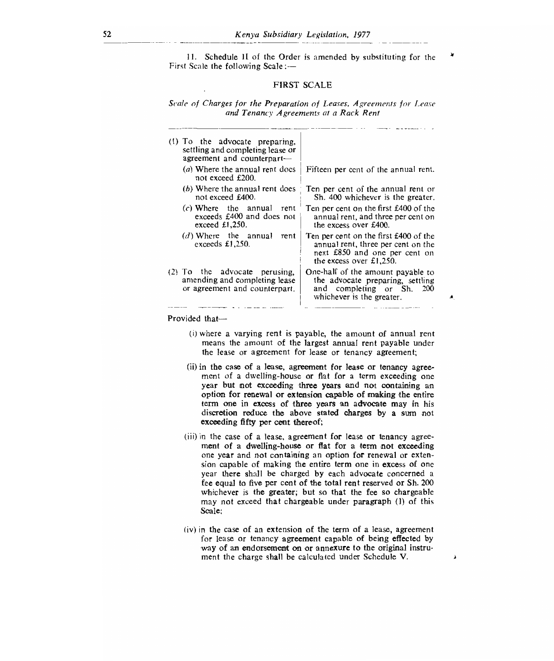II. Schedule II of the Order is amended by substituting for the First Scale the following Scale :—

#### FIRST SCALE

Scale of Charges for the Preparation of Leases, Agreements for Lease and Tenancy Agreements at a Rack Rent

| (1) To the advocate preparing,<br>settling and completing lease or<br>agreement and counterpart-  |                                                                                                                                           |
|---------------------------------------------------------------------------------------------------|-------------------------------------------------------------------------------------------------------------------------------------------|
| (a) Where the annual rent does<br>not exceed £200.                                                | Fifteen per cent of the annual rent.                                                                                                      |
| (b) Where the annual rent does<br>not exceed £400.                                                | Ten per cent of the annual rent or<br>Sh. 400 whichever is the greater.                                                                   |
| $(c)$ Where the annual rent<br>exceeds £400 and does not<br>exceed $£1,250$ .                     | Ten per cent on the first £400 of the<br>annual rent, and three per cent on<br>the excess over £400.                                      |
| $(d)$ Where the annual rent<br>exceeds $£1,250.$                                                  | Ten per cent on the first £400 of the<br>annual rent, three per cent on the<br>next £850 and one per cent on<br>the excess over $£1,250.$ |
| $(2)$ To the advocate perusing,<br>amending and completing lease<br>or agreement and counterpart. | One-half of the amount payable to<br>the advocate preparing, settling<br>and completing or Sh.<br><b>200</b><br>whichever is the greater. |
|                                                                                                   |                                                                                                                                           |

Provided that—

(i)where a varying rent is payable, the amount of annual rent means the amount of the largest annual rent payable under the lease or agreement for lease or tenancy agreement;

 $\blacktriangle$ 

 $\pmb{\lambda}$ 

- (ii) in the case of a lease, agreement for lease or tenancy agreement of a dwelling-house or flat for a term exceeding one year but not exceeding three years and not containing an option for renewal or extension capable of making the entire term one in excess of three years an advocate may in his discretion reduce the above stated charges by a sum not exceeding fifty per cent thereof;
- (iii) in the case of a lease, agreement for lease or tenancy agreement of a dwelling-house or flat for a term not exceeding one year and not containing an option for renewal or extension capable of making the entire term one in excess of one year there shall be charged by each advocate concerned a fee equal to five per cent of the total rent reserved or Sh. 200 whichever is the greater; but so that the fee so chargeable may not exceed that chargeable under paragraph (1) of this Scale;
- (iv)in the case of an extension of the term of a lease, agreement for lease or tenancy agreement capable of being effected by way of an endorsement on or annexure to the original instrument the charge shall be calculated under Schedule V.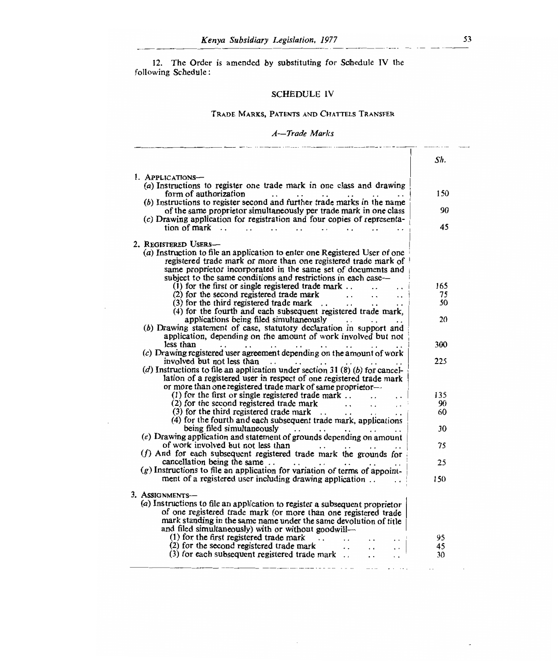12. The Order is amended by substituting for Schedule IV th following Schedule

# SCHEDULE IV

## TRADE MARKS, PATENTS AND CHATTELS TRANSFER

## *A—Trade Marks*

|                                                                                                                                        | Sh. |
|----------------------------------------------------------------------------------------------------------------------------------------|-----|
| 1. APPLICATIONS-                                                                                                                       |     |
| (a) Instructions to register one trade mark in one class and drawing                                                                   |     |
| form of authorization<br>$\sim$<br>$\ddot{\phantom{0}}$                                                                                | 150 |
| (b) Instructions to register second and further trade marks in the name                                                                |     |
| of the same proprietor simultaneously per trade mark in one class                                                                      | 90  |
| (c) Drawing application for registration and four copies of representa-                                                                |     |
| tion of mark $\ldots$                                                                                                                  | 45  |
| 2. Registered Users—                                                                                                                   |     |
| (a) Instruction to file an application to enter one Registered User of one                                                             |     |
| registered trade mark or more than one registered trade mark of                                                                        |     |
| same proprietor incorporated in the same set of documents and                                                                          |     |
| subject to the same conditions and restrictions in each case—                                                                          |     |
| $(1)$ for the first or single registered trade mark.                                                                                   | 165 |
| (2) for the second registered trade mark<br>$\ddot{\phantom{0}}$<br>$\ddots$                                                           | 75  |
| $(3)$ for the third registered trade mark<br>$\ddotsc$<br>$\ddot{\phantom{0}}$                                                         | 50  |
| (4) for the fourth and each subsequent registered trade mark,<br>applications being filed simultaneously                               | 20  |
| $\mathbf{r}$ , $\mathbf{r}$ , $\mathbf{r}$<br>(b) Drawing statement of case, statutory declaration in support and                      |     |
| application, depending on the amount of work involved but not                                                                          |     |
| less than<br>$\ddots$<br>$\ddot{\phantom{0}}$                                                                                          | 300 |
| (c) Drawing registered user agreement depending on the amount of work                                                                  |     |
| involved but not less than<br>$\ddotsc$<br>$\cdot$ .<br>$\cdots$                                                                       | 225 |
| (d) Instructions to file an application under section 31 (8) (b) for cancel-                                                           |     |
| lation of a registered user in respect of one registered trade mark                                                                    |     |
| or more than one registered trade mark of same proprietor-                                                                             |     |
| $(1)$ for the first or single registered trade mark<br>$\ddot{\phantom{0}}$                                                            | 135 |
| (2) for the second registered trade mark<br>$\ddot{\phantom{0}}$<br>$\ddot{\phantom{0}}$                                               | 90  |
| $(3)$ for the third registered trade mark $\ldots$                                                                                     | 60  |
| (4) for the fourth and each subsequent trade mark, applications                                                                        |     |
|                                                                                                                                        | 30  |
| $(e)$ Drawing application and statement of grounds depending on amount                                                                 |     |
| of work involved but not less than                                                                                                     | 75  |
| (f) And for each subsequent registered trade mark the grounds for                                                                      | 25  |
| cancellation being the same $\ldots$ $\ldots$ $\ldots$<br>$(g)$ Instructions to file an application for variation of terms of appoint- |     |
| ment of a registered user including drawing application                                                                                | 150 |
|                                                                                                                                        |     |
| 3. ASSIGNMENTS-                                                                                                                        |     |
| (a) Instructions to file an application to register a subsequent proprietor                                                            |     |
| of one registered trade mark (or more than one registered trade                                                                        |     |
| mark standing in the same name under the same devolution of title                                                                      |     |
| and filed simultaneously) with or without goodwill—                                                                                    |     |
| (1) for the first registered trade mark<br>$\sim$<br>$\sim$ $\sim$                                                                     | 95  |
| (2) for the second registered trade mark<br>$\mathbf{1}$ , $\mathbf{1}$<br>$\ddotsc$                                                   | 45  |
| $(3)$ for each subsequent registered trade mark<br>$\ddot{\phantom{0}}$                                                                | 30  |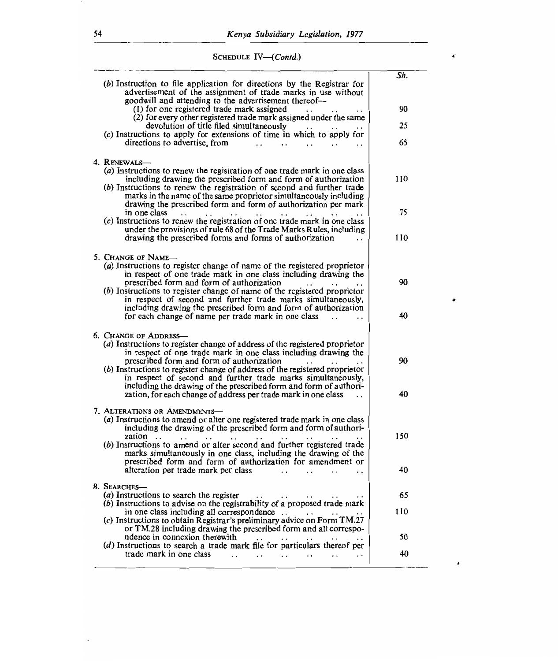$\blacktriangleleft$ 

۰

 $\lambda$ 

SCHEDULE *IV—(Contd.)* 

| (b) Instruction to file application for directions by the Registrar for<br>advertisement of the assignment of trade marks in use without<br>goodwill and attending to the advertisement thereof--                                                                                                                                                                                                                                                                                                                                         | Sh.      |
|-------------------------------------------------------------------------------------------------------------------------------------------------------------------------------------------------------------------------------------------------------------------------------------------------------------------------------------------------------------------------------------------------------------------------------------------------------------------------------------------------------------------------------------------|----------|
| (1) for one registered trade mark assigned<br>(2) for every other registered trade mark assigned under the same                                                                                                                                                                                                                                                                                                                                                                                                                           | 90       |
| devolution of title filed simultaneously<br>(c) Instructions to apply for extensions of time in which to apply for                                                                                                                                                                                                                                                                                                                                                                                                                        | 25       |
| directions to advertise, from<br>$\ddot{\phantom{0}}$                                                                                                                                                                                                                                                                                                                                                                                                                                                                                     | 65       |
| 4. RENEWALS-<br>(a) Instructions to renew the registration of one trade mark in one class<br>including drawing the prescribed form and form of authorization<br>(b) Instructions to renew the registration of second and further trade<br>marks in the name of the same proprietor simultaneously including<br>drawing the prescribed form and form of authorization per mark                                                                                                                                                             | 110      |
| in one class<br>$\sim$                                                                                                                                                                                                                                                                                                                                                                                                                                                                                                                    | 75       |
| (c) Instructions to renew the registration of one trade mark in one class<br>under the provisions of rule 68 of the Trade Marks Rules, including<br>drawing the prescribed forms and forms of authorization                                                                                                                                                                                                                                                                                                                               | 110      |
| 5. CHANGE OF NAME-<br>(a) Instructions to register change of name of the registered proprietor<br>in respect of one trade mark in one class including drawing the<br>prescribed form and form of authorization<br>$(b)$ Instructions to register change of name of the registered proprietor<br>in respect of second and further trade marks simultaneously,                                                                                                                                                                              | 90       |
| including drawing the prescribed form and form of authorization<br>for each change of name per trade mark in one class                                                                                                                                                                                                                                                                                                                                                                                                                    | 40       |
| <b>6. CHANGE OF ADDRESS-</b><br>(a) Instructions to register change of address of the registered proprietor<br>in respect of one trade mark in one class including drawing the<br>prescribed form and form of authorization<br>(b) Instructions to register change of address of the registered proprietor<br>in respect of second and further trade marks simultaneously,<br>including the drawing of the prescribed form and form of authori-<br>zation, for each change of address per trade mark in one class<br>$\ddot{\phantom{0}}$ | 90<br>40 |
| 7. ALTERATIONS OR AMENDMENTS-<br>(a) Instructions to amend or alter one registered trade mark in one class<br>including the drawing of the prescribed form and form of authori-<br>zation<br>$\ddot{\phantom{0}}$<br>$\ddot{\phantom{0}}$<br>(b) Instructions to amend or alter second and further registered trade<br>marks simultaneously in one class, including the drawing of the<br>prescribed form and form of authorization for amendment or                                                                                      | 150      |
| alteration per trade mark per class                                                                                                                                                                                                                                                                                                                                                                                                                                                                                                       | 40       |
| 8. SEARCHES-<br>(a) Instructions to search the register<br>$\sim$ $\sim$<br>$\cdot$ .<br>$(b)$ Instructions to advise on the registrability of a proposed trade mark                                                                                                                                                                                                                                                                                                                                                                      | 65       |
| in one class including all correspondence $\ldots$ . $\ldots$ .<br>(c) Instructions to obtain Registrar's preliminary advice on Form TM.27                                                                                                                                                                                                                                                                                                                                                                                                | 110      |
| or TM.28 including drawing the prescribed form and all correspo-<br>ndence in connexion therewith<br>$\sim 10^{-11}$<br>$\cdot$ .                                                                                                                                                                                                                                                                                                                                                                                                         | 50       |
| (d) Instructions to search a trade mark file for particulars thereof per<br>trade mark in one class<br>$\sim$ $\sim$ $\sim$ $\sim$<br>$\sim$ $\sim$<br>$\ddot{\phantom{0}}$<br>$\sim$ $\sim$<br>$\bullet$ , $\bullet$ , $\bullet$ , $\bullet$ , $\bullet$<br>$\sim$ $\sim$                                                                                                                                                                                                                                                                | 40       |
|                                                                                                                                                                                                                                                                                                                                                                                                                                                                                                                                           |          |

 $\cdot$ 

 $\overline{\phantom{a}}$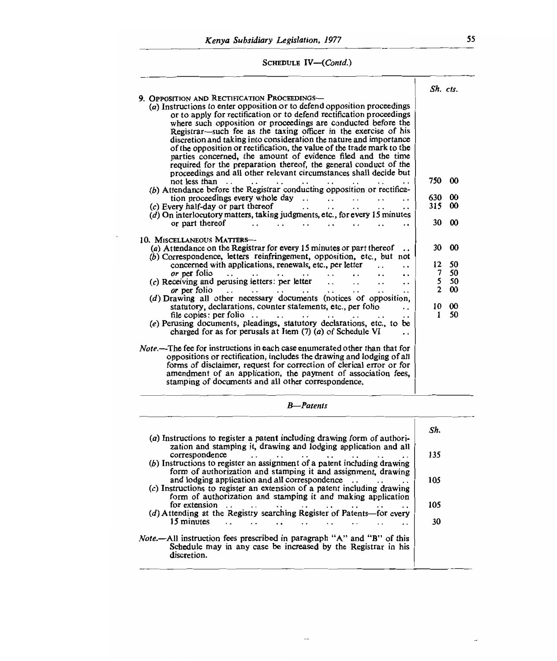# SCHEDULE *IV—(Contd.)*

|                                                                                                                                                                                                                                                      | Sh. cts.            |                       |
|------------------------------------------------------------------------------------------------------------------------------------------------------------------------------------------------------------------------------------------------------|---------------------|-----------------------|
| 9. OPPOSITION AND RECTIFICATION PROCEEDINGS-                                                                                                                                                                                                         |                     |                       |
| (a) Instructions to enter opposition or to defend opposition proceedings                                                                                                                                                                             |                     |                       |
| or to apply for rectification or to defend rectification proceedings                                                                                                                                                                                 |                     |                       |
| where such opposition or proceedings are conducted before the                                                                                                                                                                                        |                     |                       |
|                                                                                                                                                                                                                                                      |                     |                       |
| Registrar—such fee as the taxing officer in the exercise of his                                                                                                                                                                                      |                     |                       |
| discretion and taking into consideration the nature and importance                                                                                                                                                                                   |                     |                       |
| of the opposition or rectification, the value of the trade mark to the                                                                                                                                                                               |                     |                       |
| parties concerned, the amount of evidence filed and the time                                                                                                                                                                                         |                     |                       |
| required for the preparation thereof, the general conduct of the                                                                                                                                                                                     |                     |                       |
| proceedings and all other relevant circumstances shall decide but                                                                                                                                                                                    |                     |                       |
| not less than<br>$\mathbf{r} \leftarrow \mathbf{r}$<br>$\cdot$ $\cdot$                                                                                                                                                                               | 750                 | $\boldsymbol{\omega}$ |
| (b) Attendance before the Registrar conducting opposition or rectifica-                                                                                                                                                                              |                     |                       |
| tion proceedings every whole day $\ldots$ .                                                                                                                                                                                                          | 630                 | $\boldsymbol{\omega}$ |
|                                                                                                                                                                                                                                                      | 315                 | $\boldsymbol{00}$     |
| (c) Every half-day or part thereof<br>$\ddot{\phantom{0}}$<br>. .                                                                                                                                                                                    |                     |                       |
| $(d)$ On interlocutory matters, taking judgments, etc., for every 15 minutes                                                                                                                                                                         |                     |                       |
| or part thereof<br>$\ddot{\phantom{0}}$                                                                                                                                                                                                              | 30                  | 00                    |
| 10. MISCELLANEOUS MATTERS-                                                                                                                                                                                                                           |                     |                       |
| (a) Attendance on the Registrar for every 15 minutes or part thereof                                                                                                                                                                                 | 30                  | $\infty$              |
| (b) Correspondence, letters reinfringement, opposition, etc., but not                                                                                                                                                                                |                     |                       |
| concerned with applications, renewals, etc., per letter                                                                                                                                                                                              | 12                  | 50                    |
| $\ddot{\phantom{0}}$                                                                                                                                                                                                                                 | 7                   | 50                    |
| or per folio<br>the company of the company of the company of the company of the company of the company of the company of the company of the company of the company of the company of the company of the company of the company of the company<br>. . |                     |                       |
| $(c)$ Receiving and perusing letters: per letter $\dots$<br>$\ddot{\phantom{0}}$<br>. .                                                                                                                                                              | 5<br>$\overline{2}$ | 50                    |
| or per folio<br>the contract of the contract of the contract of the contract of the contract of the contract of the contract of<br>$\sim$ $\sim$<br>$\ddot{\phantom{0}}$<br>$\ddot{\phantom{0}}$                                                     |                     | 00                    |
| (d) Drawing all other necessary documents (notices of opposition,                                                                                                                                                                                    |                     |                       |
| statutory, declarations, counter statements, etc., per folio<br>$\cdot$ .                                                                                                                                                                            | 10                  | $\infty$              |
| file copies: per folio<br>$\sim$ $\sim$ $\sim$ $\sim$<br>and the state of the state<br>$\cdot$ $\cdot$                                                                                                                                               | 1                   | 50                    |
| (e) Perusing documents, pleadings, statutory declarations, etc., to be                                                                                                                                                                               |                     |                       |
| charged for as for perusals at Item $(7)$ $(a)$ of Schedule VI                                                                                                                                                                                       |                     |                       |
|                                                                                                                                                                                                                                                      |                     |                       |
| <i>Note</i> .—The fee for instructions in each case enumerated other than that for                                                                                                                                                                   |                     |                       |
| oppositions or rectification, includes the drawing and lodging of all                                                                                                                                                                                |                     |                       |
| forms of disclaimer, request for correction of clerical error or for                                                                                                                                                                                 |                     |                       |
| amendment of an application, the payment of association fees,                                                                                                                                                                                        |                     |                       |
| stamping of documents and all other correspondence.                                                                                                                                                                                                  |                     |                       |
|                                                                                                                                                                                                                                                      |                     |                       |
|                                                                                                                                                                                                                                                      |                     |                       |

*B--Patents* 

| (a) Instructions to register a patent including drawing form of authori-                                                                                                                                                                                                                                                                                                                                     | Sh. |
|--------------------------------------------------------------------------------------------------------------------------------------------------------------------------------------------------------------------------------------------------------------------------------------------------------------------------------------------------------------------------------------------------------------|-----|
| zation and stamping it, drawing and lodging application and all<br>correspondence<br>$\cdots$<br>(b) Instructions to register an assignment of a patent including drawing                                                                                                                                                                                                                                    | 135 |
| form of authorization and stamping it and assignment, drawing<br>and lodging application and all correspondence<br>(c) Instructions to register an extension of a patent including drawing                                                                                                                                                                                                                   | 105 |
| form of authorization and stamping it and making application<br>for extension<br>$\cdot$ .<br>the contract of the contract of the contract of the contract of the contract of the contract of the contract of the contract of the contract of the contract of the contract of the contract of the contract of the contract o<br>. .<br>(d) Attending at the Registry searching Register of Patents-for every | 105 |
| 15 minutes<br>. .                                                                                                                                                                                                                                                                                                                                                                                            | 30  |
| <i>Note</i> .—All instruction fees prescribed in paragraph "A" and "B" of this<br>Schedule may in any case be increased by the Registrar in his<br>discretion.                                                                                                                                                                                                                                               |     |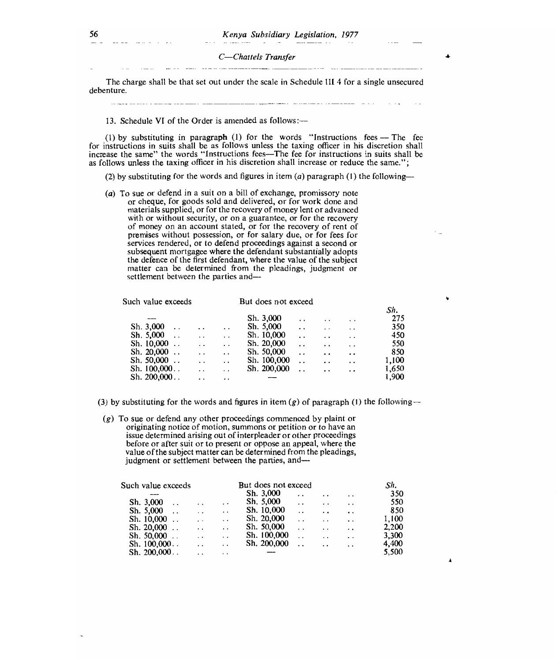C-Chattels Transfer

The charge shall be that set out under the scale in Schedule III 4 for a single unsecured debenture.

13. Schedule VI of the Order is amended as follows:—

(1) by substituting in paragraph (1) for the words "Instructions fees  $-$  The fee for instructions in suits shall be as follows unless the taxing officer in his discretion shall increase the same" the words "Instructions fees-The fee for instructions in suits shall be as follows unless the taxing officer in his discretion shall increase or reduce the same.";

(2) by substituting for the words and figures in item (*a*) paragraph (1) the following--

(a) To sue or defend in a suit on a bill of exchange, promissory note or cheque, for goods sold and delivered, or for work done and materials supplied, or for the recovery of money lent or advanced with or without security, or on a guarantee, or for the recovery of money on an account stated, or for the recovery of rent of premises without possession, or for salary due, or for fees for services rendered, or to defend proceedings against a second or subsequent mortgagee where the defendant substantially adopts the defence of the first defendant, where the value of the subject matter can be determined from the pleadings, judgment or settlement between the parties and-

Such value exceeds

But does not exceed

| ICII VAIUC GALCCUS |                      |                      | DUI GUES HUI CALCLU |                      |                      |                      |       |
|--------------------|----------------------|----------------------|---------------------|----------------------|----------------------|----------------------|-------|
|                    |                      |                      |                     |                      |                      |                      | Sh.   |
|                    |                      |                      | Sh. 3,000           | $\ddot{\phantom{0}}$ | $\ddot{\phantom{0}}$ | $\ddot{\phantom{0}}$ | 275   |
| Sh. 3,000          | $\ddot{\phantom{0}}$ | $\ddot{\phantom{0}}$ | Sh. 5,000           | $\ddot{\phantom{0}}$ | $\cdot$ $\cdot$      | $\ddot{\phantom{a}}$ | 350   |
| Sh. 5,000          | . .                  | . .                  | Sh. 10,000          | $\cdot$ $\cdot$      | $\ddot{\phantom{0}}$ | $\ddot{\phantom{0}}$ | 450   |
| Sh. $10,000$       | $\ddot{\phantom{a}}$ | $\ddot{\phantom{0}}$ | Sh. 20,000          | $\ddot{\phantom{0}}$ | $\ddot{\phantom{0}}$ | $\ddot{\phantom{0}}$ | 550   |
| Sh. $20,000$       | $\ddot{\phantom{a}}$ | $\ddot{\phantom{a}}$ | Sh. 50,000          | $\ddot{\phantom{0}}$ | $\ddot{\phantom{a}}$ | $\ddot{\phantom{a}}$ | 850   |
| Sh. 50,000         | $\ddot{\phantom{0}}$ | $\ddot{\phantom{a}}$ | Sh. 100,000         | $\ddot{\phantom{0}}$ | $\ddot{\phantom{a}}$ | $\ddot{\phantom{0}}$ | 1.100 |
| Sh. 100,000. .     | $\overline{a}$       | $\ddot{\phantom{0}}$ | Sh. 200,000         | $\ddot{\phantom{0}}$ | $\ddot{\phantom{a}}$ | $\ddot{\phantom{a}}$ | 1,650 |
| Sh. 200,000        | $\ddot{\phantom{1}}$ | . .                  |                     |                      |                      |                      | 1.900 |
|                    |                      |                      |                     |                      |                      |                      |       |

(3) by substituting for the words and figures in item (g) of paragraph (1) the following --

(g) To sue or defend any other proceedings commenced by plaint or originating notice of motion, summons or petition or to have an issue determined arising out of interpleader or other proceedings before or after suit or to present or oppose an appeal, where the value of the subject matter can be determined from the pleadings, judgment or settlement between the parties, and-

| Such value exceeds |                      |                      |                      | But does not exceed |                      |                      |                      | Sh.   |  |
|--------------------|----------------------|----------------------|----------------------|---------------------|----------------------|----------------------|----------------------|-------|--|
|                    |                      |                      |                      | Sh. 3,000           | . .                  | $\cdot$ .            | $\ddot{\phantom{0}}$ | 350   |  |
| Sh. 3,000          | $\ddot{\phantom{0}}$ | . .                  | $\cdot$ $\cdot$      | Sh. 5,000           | $\cdot$ .            | $\cdot$ $\cdot$      | $\ddot{\phantom{1}}$ | 550   |  |
| Sh. 5,000          |                      | $\cdot$ $\cdot$      | $\ddot{\phantom{0}}$ | Sh. 10,000          | $\cdot$ .            | $\ddot{\phantom{0}}$ | $\ddot{\phantom{a}}$ | 850   |  |
| Sh. $10,000$       |                      | $\ddot{\phantom{0}}$ | $\ddot{\phantom{0}}$ | Sh. 20,000          | $\cdot$ $\cdot$      | $\cdot$ $\cdot$      | $\cdot$ .            | 1.100 |  |
| Sh. $20,000$       |                      | $\ddot{\phantom{0}}$ | $\ddot{\phantom{a}}$ | Sh. 50,000          | $\ddot{\phantom{a}}$ | $\ddot{\phantom{1}}$ | $\cdot$ .            | 2,200 |  |
| Sh. $50,000$       |                      | $\ddot{\phantom{0}}$ | . .                  | Sh. 100,000         | $\cdot$ $\cdot$      | $\cdot$ .            | $\ddot{\phantom{0}}$ | 3,300 |  |
| Sh. 100,000        |                      | $\ddot{\phantom{0}}$ | $\ddot{\phantom{a}}$ | Sh. 200,000         | $\ddot{\phantom{0}}$ | $\ddot{\phantom{1}}$ | $\ddot{\phantom{1}}$ | 4,400 |  |
| Sh. 200,000        |                      | $\ddot{\phantom{0}}$ | $\ddot{\phantom{1}}$ |                     |                      |                      |                      | 5,500 |  |
|                    |                      |                      |                      |                     |                      |                      |                      |       |  |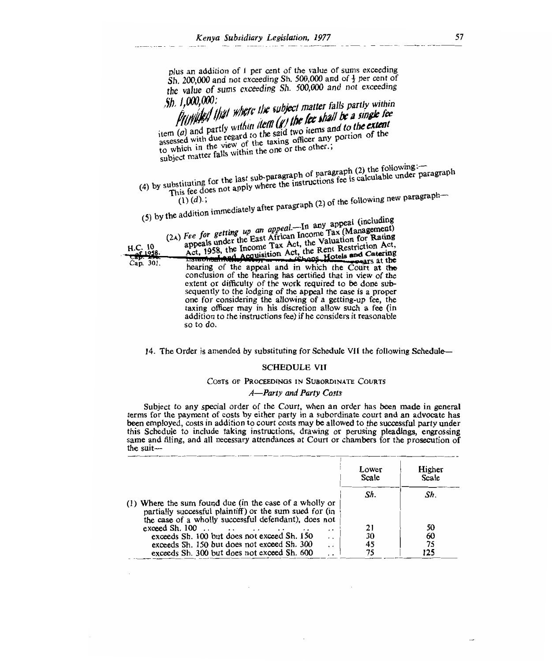plus an addition of 1 per cent of the value of sums exceeding Sh.  $200,000$  and not exceeding Sh.  $500,000$  and of  $\frac{1}{2}$  per cent of the value of sums exceeding Sh. 500,000 and not exceeding  $\int h$ ,  $1,000,000$ :

sh, *il000,000: i /yip I/ 0/ OW the llbject matter falls partly within*  From (a) and partly within item  $(g)$  the lee shall be a single fee sitem (a) and partly within item  $(g)$  the lee shall be a single regard to the said two items and to the extent and to the extent<br>and to the extent the community which is the view of the call to the extent assessed with due regard to the said two items and to the extent

subject matter falls within the one or the other.;

—  $\overline{a}$ 

(4)  $\epsilon$  sub-paragraph of paragraph (2) the following formula is calculable under ubstituting for the last sub-paragregic instructions fee is calculable directed.

(1) *(d);*   $\mu$  the addition immediately after paragraph (2) of the following new paragraph—

| $(3)$ by the $44$ -<br>H.C. 10<br>$-32.4$<br>Cap. 301.<br>so to do. | $(2)$ Fee for getting up an appeal.—In any appeal (including<br>appeals under the East African Income Tax (Management)<br>Act, 1958, the Income Tax Act, the Valuation for Rating<br>Established Acquisition Act, the Rent Restriction Act,<br>hearing of the appeal and in which the Court at the<br>conclusion of the hearing has certified that in view of the<br>extent or difficulty of the work required to be done sub-<br>sequently to the lodging of the appeal the case is a proper<br>one for considering the allowing of a getting-up fee, the<br>taxing officer may in his discretion allow such a fee (in<br>addition to the instructions fee) if he considers it reasonable |
|---------------------------------------------------------------------|--------------------------------------------------------------------------------------------------------------------------------------------------------------------------------------------------------------------------------------------------------------------------------------------------------------------------------------------------------------------------------------------------------------------------------------------------------------------------------------------------------------------------------------------------------------------------------------------------------------------------------------------------------------------------------------------|
|                                                                     |                                                                                                                                                                                                                                                                                                                                                                                                                                                                                                                                                                                                                                                                                            |

14. The Order is amended by substituting for Schedule VII the following Schedule—

#### SCHEDULE VII

#### COSTS OF PROCEEDINGS IN SUBORDINATE COURTS

#### *A—Party and Party Costs*

Subject to any special order of the Court, when an order has been made in general terms for the payment of costs by either party in a subordinate court and an advocate has been employed, costs in addition to court costs may be allowed to the successful party under this Schedule to include taking instructions, drawing or perusing pleadings, engrossing same and filing, and all necessary attendances at Court or chambers for the prosecution of the suit—

|                                                                     | Lower<br>Scale | Higher<br>Scale |
|---------------------------------------------------------------------|----------------|-----------------|
|                                                                     | Sh.            | Sh.             |
| (1) Where the sum found due (in the case of a wholly or             |                |                 |
| partially successful plaintiff) or the sum sued for (in             |                |                 |
| the case of a wholly successful defendant), does not                |                |                 |
| exceed Sh. 100<br>. .                                               | 21             | 50              |
| exceeds Sh. 100 but does not exceed Sh. 150<br>$\cdot$ $\cdot$      | 30             | 60              |
| exceeds Sh. 150 but does not exceed Sh. 300<br>$\ddot{\phantom{1}}$ | 45             | 75              |
| exceeds Sh. 300 but does not exceed Sh. 600                         |                | 125             |